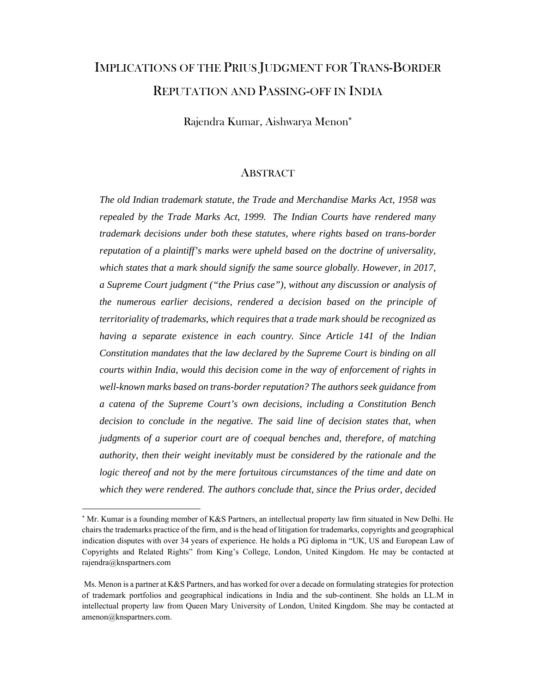# IMPLICATIONS OF THE PRIUS JUDGMENT FOR TRANS-BORDER REPUTATION AND PASSING-OFF IN INDIA

Rajendra Kumar, Aishwarya Menon

### **ABSTRACT**

*The old Indian trademark statute, the Trade and Merchandise Marks Act, 1958 was repealed by the Trade Marks Act, 1999. The Indian Courts have rendered many trademark decisions under both these statutes, where rights based on trans-border reputation of a plaintiff's marks were upheld based on the doctrine of universality,*  which states that a mark should signify the same source globally. However, in 2017, *a Supreme Court judgment ("the Prius case"), without any discussion or analysis of the numerous earlier decisions, rendered a decision based on the principle of territoriality of trademarks, which requires that a trade mark should be recognized as having a separate existence in each country. Since Article 141 of the Indian Constitution mandates that the law declared by the Supreme Court is binding on all courts within India, would this decision come in the way of enforcement of rights in well-known marks based on trans-border reputation? The authors seek guidance from a catena of the Supreme Court's own decisions, including a Constitution Bench decision to conclude in the negative. The said line of decision states that, when judgments of a superior court are of coequal benches and, therefore, of matching authority, then their weight inevitably must be considered by the rationale and the logic thereof and not by the mere fortuitous circumstances of the time and date on which they were rendered. The authors conclude that, since the Prius order, decided* 

 Mr. Kumar is a founding member of K&S Partners, an intellectual property law firm situated in New Delhi. He chairs the trademarks practice of the firm, and is the head of litigation for trademarks, copyrights and geographical indication disputes with over 34 years of experience. He holds a PG diploma in "UK, US and European Law of Copyrights and Related Rights" from King's College, London, United Kingdom. He may be contacted at rajendra@knspartners.com

Ms. Menon is a partner at K&S Partners, and has worked for over a decade on formulating strategies for protection of trademark portfolios and geographical indications in India and the sub-continent. She holds an LL.M in intellectual property law from Queen Mary University of London, United Kingdom. She may be contacted at amenon@knspartners.com.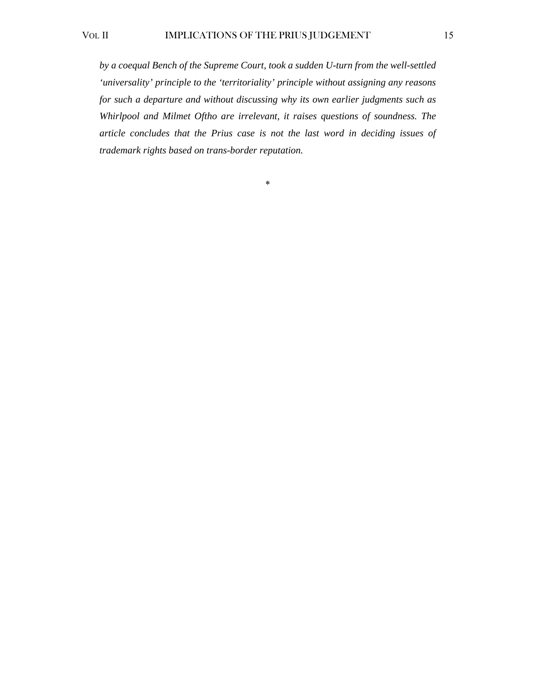*by a coequal Bench of the Supreme Court, took a sudden U-turn from the well-settled 'universality' principle to the 'territoriality' principle without assigning any reasons for such a departure and without discussing why its own earlier judgments such as Whirlpool and Milmet Oftho are irrelevant, it raises questions of soundness. The article concludes that the Prius case is not the last word in deciding issues of trademark rights based on trans-border reputation.* 

\*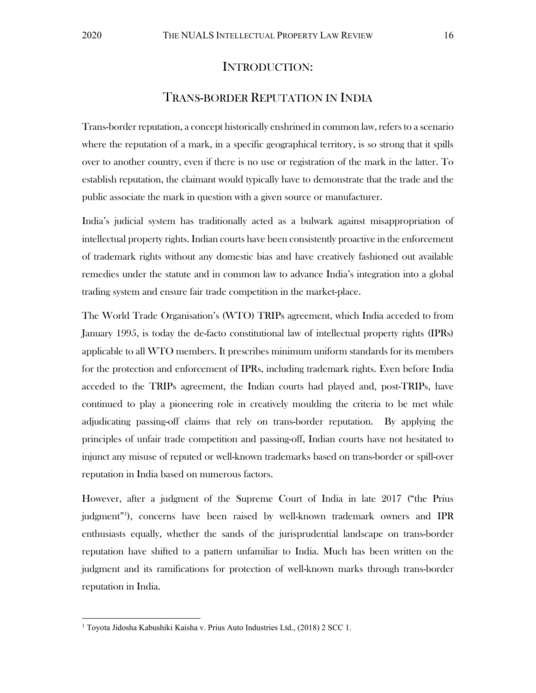### INTRODUCTION:

## TRANS-BORDER REPUTATION IN INDIA

Trans-border reputation, a concept historically enshrined in common law, refers to a scenario where the reputation of a mark, in a specific geographical territory, is so strong that it spills over to another country, even if there is no use or registration of the mark in the latter. To establish reputation, the claimant would typically have to demonstrate that the trade and the public associate the mark in question with a given source or manufacturer.

India's judicial system has traditionally acted as a bulwark against misappropriation of intellectual property rights. Indian courts have been consistently proactive in the enforcement of trademark rights without any domestic bias and have creatively fashioned out available remedies under the statute and in common law to advance India's integration into a global trading system and ensure fair trade competition in the market-place.

The World Trade Organisation's (WTO) TRIPs agreement, which India acceded to from January 1995, is today the de-facto constitutional law of intellectual property rights (IPRs) applicable to all WTO members. It prescribes minimum uniform standards for its members for the protection and enforcement of IPRs, including trademark rights. Even before India acceded to the TRIPs agreement, the Indian courts had played and, post-TRIPs, have continued to play a pioneering role in creatively moulding the criteria to be met while adjudicating passing-off claims that rely on trans-border reputation. By applying the principles of unfair trade competition and passing-off, Indian courts have not hesitated to injunct any misuse of reputed or well-known trademarks based on trans-border or spill-over reputation in India based on numerous factors.

However, after a judgment of the Supreme Court of India in late 2017 ("the Prius judgment"<sup>1</sup> ), concerns have been raised by well-known trademark owners and IPR enthusiasts equally, whether the sands of the jurisprudential landscape on trans-border reputation have shifted to a pattern unfamiliar to India. Much has been written on the judgment and its ramifications for protection of well-known marks through trans-border reputation in India.

<sup>&</sup>lt;sup>1</sup> Toyota Jidosha Kabushiki Kaisha v. Prius Auto Industries Ltd., (2018) 2 SCC 1.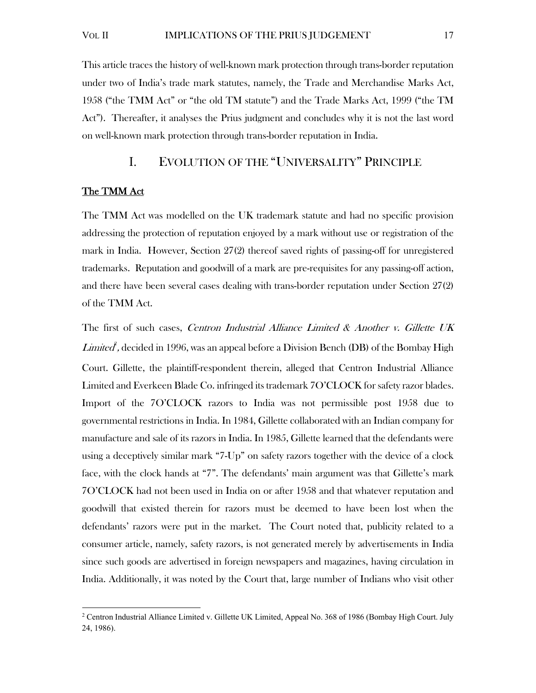This article traces the history of well-known mark protection through trans-border reputation under two of India's trade mark statutes, namely, the Trade and Merchandise Marks Act, 1958 ("the TMM Act" or "the old TM statute") and the Trade Marks Act, 1999 ("the TM Act"). Thereafter, it analyses the Prius judgment and concludes why it is not the last word on well-known mark protection through trans-border reputation in India.

# I. EVOLUTION OF THE "UNIVERSALITY" PRINCIPLE

#### The TMM Act

The TMM Act was modelled on the UK trademark statute and had no specific provision addressing the protection of reputation enjoyed by a mark without use or registration of the mark in India. However, Section 27(2) thereof saved rights of passing-off for unregistered trademarks. Reputation and goodwill of a mark are pre-requisites for any passing-off action, and there have been several cases dealing with trans-border reputation under Section 27(2) of the TMM Act.

The first of such cases, Centron Industrial Alliance Limited & Another v. Gillette UK  $Limited$  , decided in 1996, was an appeal before a Division Bench (DB) of the Bombay High Court. Gillette, the plaintiff-respondent therein, alleged that Centron Industrial Alliance Limited and Everkeen Blade Co. infringed its trademark 7O'CLOCK for safety razor blades. Import of the 7O'CLOCK razors to India was not permissible post 1958 due to governmental restrictions in India. In 1984, Gillette collaborated with an Indian company for manufacture and sale of its razors in India. In 1985, Gillette learned that the defendants were using a deceptively similar mark "7-Up" on safety razors together with the device of a clock face, with the clock hands at "7". The defendants' main argument was that Gillette's mark 7O'CLOCK had not been used in India on or after 1958 and that whatever reputation and goodwill that existed therein for razors must be deemed to have been lost when the defendants' razors were put in the market. The Court noted that, publicity related to a consumer article, namely, safety razors, is not generated merely by advertisements in India since such goods are advertised in foreign newspapers and magazines, having circulation in India. Additionally, it was noted by the Court that, large number of Indians who visit other

<sup>&</sup>lt;sup>2</sup> Centron Industrial Alliance Limited v. Gillette UK Limited, Appeal No. 368 of 1986 (Bombay High Court. July 24, 1986).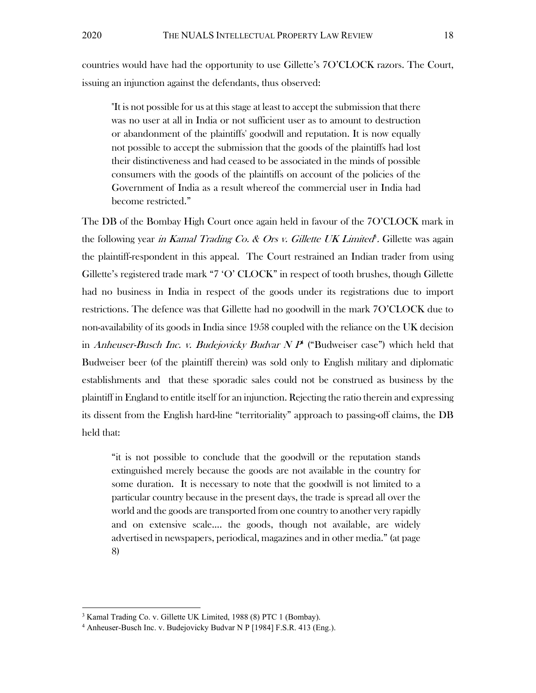countries would have had the opportunity to use Gillette's 7O'CLOCK razors. The Court, issuing an injunction against the defendants, thus observed:

"It is not possible for us at this stage at least to accept the submission that there was no user at all in India or not sufficient user as to amount to destruction or abandonment of the plaintiffs' goodwill and reputation. It is now equally not possible to accept the submission that the goods of the plaintiffs had lost their distinctiveness and had ceased to be associated in the minds of possible consumers with the goods of the plaintiffs on account of the policies of the Government of India as a result whereof the commercial user in India had become restricted."

The DB of the Bombay High Court once again held in favour of the 7O'CLOCK mark in the following year *in Kamal Trading Co. & Ors v. Gillette UK Limited<sup>8</sup>.* Gillette was again the plaintiff-respondent in this appeal. The Court restrained an Indian trader from using Gillette's registered trade mark "7 'O' CLOCK" in respect of tooth brushes, though Gillette had no business in India in respect of the goods under its registrations due to import restrictions. The defence was that Gillette had no goodwill in the mark 7O'CLOCK due to non-availability of its goods in India since 1958 coupled with the reliance on the UK decision in Anheuser-Busch Inc. v. Budejovicky Budvar  $NP^*$  ("Budweiser case") which held that Budweiser beer (of the plaintiff therein) was sold only to English military and diplomatic establishments and that these sporadic sales could not be construed as business by the plaintiff in England to entitle itself for an injunction. Rejecting the ratio therein and expressing its dissent from the English hard-line "territoriality" approach to passing-off claims, the DB held that:

"it is not possible to conclude that the goodwill or the reputation stands extinguished merely because the goods are not available in the country for some duration. It is necessary to note that the goodwill is not limited to a particular country because in the present days, the trade is spread all over the world and the goods are transported from one country to another very rapidly and on extensive scale…. the goods, though not available, are widely advertised in newspapers, periodical, magazines and in other media." (at page 8)

<sup>&</sup>lt;sup>3</sup> Kamal Trading Co. v. Gillette UK Limited, 1988 (8) PTC 1 (Bombay).<br><sup>4</sup> Anheuser-Busch Inc. v. Budejovicky Budyar N P [1984] E S R 413 (Et

<sup>&</sup>lt;sup>4</sup> Anheuser-Busch Inc. v. Budejovicky Budvar N P [1984] F.S.R. 413 (Eng.).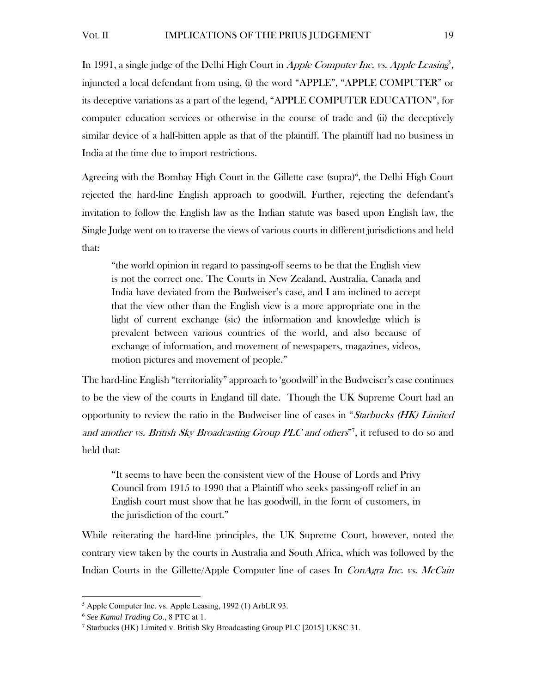In 1991, a single judge of the Delhi High Court in Apple Computer Inc. vs. Apple Leasing<sup>5</sup>, injuncted a local defendant from using, (i) the word "APPLE", "APPLE COMPUTER" or its deceptive variations as a part of the legend, "APPLE COMPUTER EDUCATION", for computer education services or otherwise in the course of trade and (ii) the deceptively similar device of a half-bitten apple as that of the plaintiff. The plaintiff had no business in India at the time due to import restrictions.

Agreeing with the Bombay High Court in the Gillette case (supra)<sup>6</sup>, the Delhi High Court rejected the hard-line English approach to goodwill. Further, rejecting the defendant's invitation to follow the English law as the Indian statute was based upon English law, the Single Judge went on to traverse the views of various courts in different jurisdictions and held that:

"the world opinion in regard to passing-off seems to be that the English view is not the correct one. The Courts in New Zealand, Australia, Canada and India have deviated from the Budweiser's case, and I am inclined to accept that the view other than the English view is a more appropriate one in the light of current exchange (sic) the information and knowledge which is prevalent between various countries of the world, and also because of exchange of information, and movement of newspapers, magazines, videos, motion pictures and movement of people."

The hard-line English "territoriality" approach to 'goodwill' in the Budweiser's case continues to be the view of the courts in England till date. Though the UK Supreme Court had an opportunity to review the ratio in the Budweiser line of cases in "Starbucks (HK) Limited and another vs. British Sky Broadcasting Group PLC and others"<sup>7</sup>, it refused to do so and held that:

"It seems to have been the consistent view of the House of Lords and Privy Council from 1915 to 1990 that a Plaintiff who seeks passing-off relief in an English court must show that he has goodwill, in the form of customers, in the jurisdiction of the court."

While reiterating the hard-line principles, the UK Supreme Court, however, noted the contrary view taken by the courts in Australia and South Africa, which was followed by the Indian Courts in the Gillette/Apple Computer line of cases In *ConAgra Inc. vs. McCain* 

<sup>5</sup> Apple Computer Inc. vs. Apple Leasing, 1992 (1) ArbLR 93.

<sup>6</sup> *See Kamal Trading Co*., 8 PTC at 1. 7

<sup>&</sup>lt;sup>7</sup> Starbucks (HK) Limited v. British Sky Broadcasting Group PLC [2015] UKSC 31.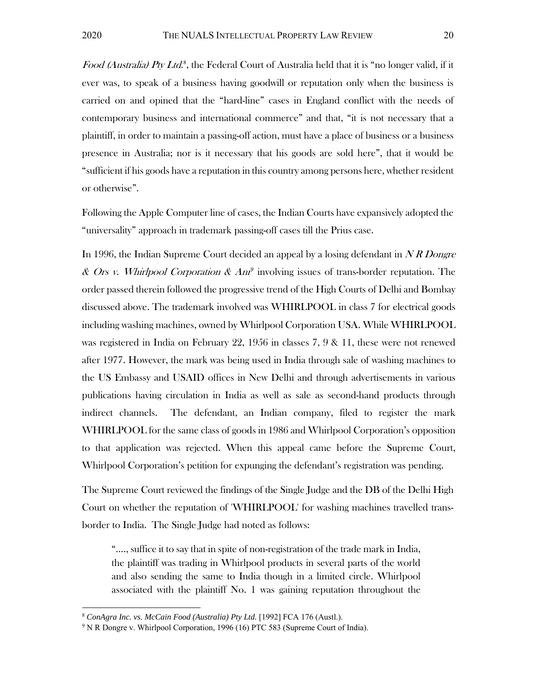Food (Australia) Pty Ltd.<sup>8</sup>, the Federal Court of Australia held that it is "no longer valid, if it ever was, to speak of a business having goodwill or reputation only when the business is carried on and opined that the "hard-line" cases in England conflict with the needs of contemporary business and international commerce" and that, "it is not necessary that a plaintiff, in order to maintain a passing-off action, must have a place of business or a business presence in Australia; nor is it necessary that his goods are sold here", that it would be "sufficient if his goods have a reputation in this country among persons here, whether resident or otherwise".

Following the Apple Computer line of cases, the Indian Courts have expansively adopted the "universality" approach in trademark passing-off cases till the Prius case.

In 1996, the Indian Supreme Court decided an appeal by a losing defendant in N R Dongre & Ors v. Whirlpool Corporation &  $Am^9$  involving issues of trans-border reputation. The order passed therein followed the progressive trend of the High Courts of Delhi and Bombay discussed above. The trademark involved was WHIRLPOOL in class 7 for electrical goods including washing machines, owned by Whirlpool Corporation USA. While WHIRLPOOL was registered in India on February 22, 1956 in classes 7, 9 & 11, these were not renewed after 1977. However, the mark was being used in India through sale of washing machines to the US Embassy and USAID offices in New Delhi and through advertisements in various publications having circulation in India as well as sale as second-hand products through indirect channels. The defendant, an Indian company, filed to register the mark WHIRLPOOL for the same class of goods in 1986 and Whirlpool Corporation's opposition to that application was rejected. When this appeal came before the Supreme Court, Whirlpool Corporation's petition for expunging the defendant's registration was pending.

The Supreme Court reviewed the findings of the Single Judge and the DB of the Delhi High Court on whether the reputation of 'WHIRLPOOL' for washing machines travelled transborder to India. The Single Judge had noted as follows:

"…., suffice it to say that in spite of non-registration of the trade mark in India, the plaintiff was trading in Whirlpool products in several parts of the world and also sending the same to India though in a limited circle. Whirlpool associated with the plaintiff No. 1 was gaining reputation throughout the

<sup>&</sup>lt;sup>8</sup> ConAgra Inc. vs. McCain Food (Australia) Pty Ltd. [1992] FCA 176 (Austl.).<br><sup>9</sup> N.B. Dongre v. Whirlpool Corporation, 1996 (16) PTC 583 (Supreme Court of

<sup>&</sup>lt;sup>9</sup> N R Dongre v. Whirlpool Corporation, 1996 (16) PTC 583 (Supreme Court of India).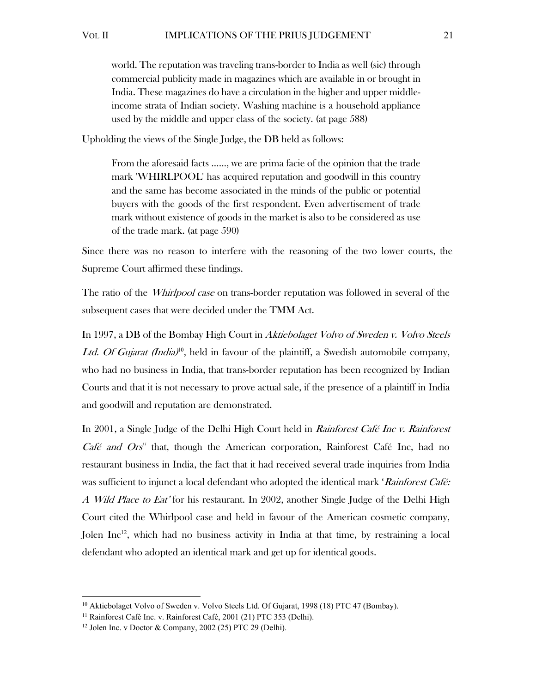world. The reputation was traveling trans-border to India as well (sic) through commercial publicity made in magazines which are available in or brought in India. These magazines do have a circulation in the higher and upper middleincome strata of Indian society. Washing machine is a household appliance used by the middle and upper class of the society. (at page 588)

Upholding the views of the Single Judge, the DB held as follows:

From the aforesaid facts ……, we are prima facie of the opinion that the trade mark 'WHIRLPOOL' has acquired reputation and goodwill in this country and the same has become associated in the minds of the public or potential buyers with the goods of the first respondent. Even advertisement of trade mark without existence of goods in the market is also to be considered as use of the trade mark. (at page 590)

Since there was no reason to interfere with the reasoning of the two lower courts, the Supreme Court affirmed these findings.

The ratio of the *Whirlpool case* on trans-border reputation was followed in several of the subsequent cases that were decided under the TMM Act.

In 1997, a DB of the Bombay High Court in Aktiebolaget Volvo of Sweden v. Volvo Steels Ltd. Of Gujarat (India)<sup>10</sup>, held in favour of the plaintiff, a Swedish automobile company, who had no business in India, that trans-border reputation has been recognized by Indian Courts and that it is not necessary to prove actual sale, if the presence of a plaintiff in India and goodwill and reputation are demonstrated.

In 2001, a Single Judge of the Delhi High Court held in *Rainforest Café Inc v. Rainforest Café and Ors<sup>11</sup>* that, though the American corporation, Rainforest Café Inc, had no restaurant business in India, the fact that it had received several trade inquiries from India was sufficient to injunct a local defendant who adopted the identical mark 'Rainforest Café: A Wild Place to Eat' for his restaurant. In 2002, another Single Judge of the Delhi High Court cited the Whirlpool case and held in favour of the American cosmetic company, Jolen Inc<sup>12</sup>, which had no business activity in India at that time, by restraining a local defendant who adopted an identical mark and get up for identical goods.

<sup>&</sup>lt;sup>10</sup> Aktiebolaget Volvo of Sweden v. Volvo Steels Ltd. Of Gujarat, 1998 (18) PTC 47 (Bombay). <sup>11</sup> Rainforest Café Inc. v. Rainforest Café, 2001 (21) PTC 353 (Delhi). <sup>12</sup> Jolen Inc. v Doctor & Company, 2002 (25) PTC 29 (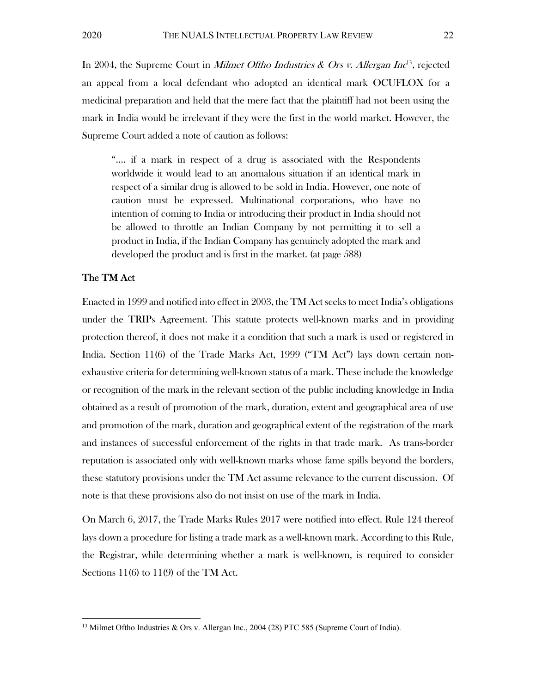In 2004, the Supreme Court in *Milmet Oftho Industries & Ors v. Allergan Inc*<sup>13</sup>, rejected an appeal from a local defendant who adopted an identical mark OCUFLOX for a medicinal preparation and held that the mere fact that the plaintiff had not been using the mark in India would be irrelevant if they were the first in the world market. However, the Supreme Court added a note of caution as follows:

"…. if a mark in respect of a drug is associated with the Respondents worldwide it would lead to an anomalous situation if an identical mark in respect of a similar drug is allowed to be sold in India. However, one note of caution must be expressed. Multinational corporations, who have no intention of coming to India or introducing their product in India should not be allowed to throttle an Indian Company by not permitting it to sell a product in India, if the Indian Company has genuinely adopted the mark and developed the product and is first in the market. (at page 588)

#### The TM Act

Enacted in 1999 and notified into effect in 2003, the TM Act seeks to meet India's obligations under the TRIPs Agreement. This statute protects well-known marks and in providing protection thereof, it does not make it a condition that such a mark is used or registered in India. Section 11(6) of the Trade Marks Act, 1999 ("TM Act") lays down certain nonexhaustive criteria for determining well-known status of a mark. These include the knowledge or recognition of the mark in the relevant section of the public including knowledge in India obtained as a result of promotion of the mark, duration, extent and geographical area of use and promotion of the mark, duration and geographical extent of the registration of the mark and instances of successful enforcement of the rights in that trade mark. As trans-border reputation is associated only with well-known marks whose fame spills beyond the borders, these statutory provisions under the TM Act assume relevance to the current discussion. Of note is that these provisions also do not insist on use of the mark in India.

On March 6, 2017, the Trade Marks Rules 2017 were notified into effect. Rule 124 thereof lays down a procedure for listing a trade mark as a well-known mark. According to this Rule, the Registrar, while determining whether a mark is well-known, is required to consider Sections 11(6) to 11(9) of the TM Act.

<sup>&</sup>lt;sup>13</sup> Milmet Oftho Industries & Ors v. Allergan Inc., 2004 (28) PTC 585 (Supreme Court of India).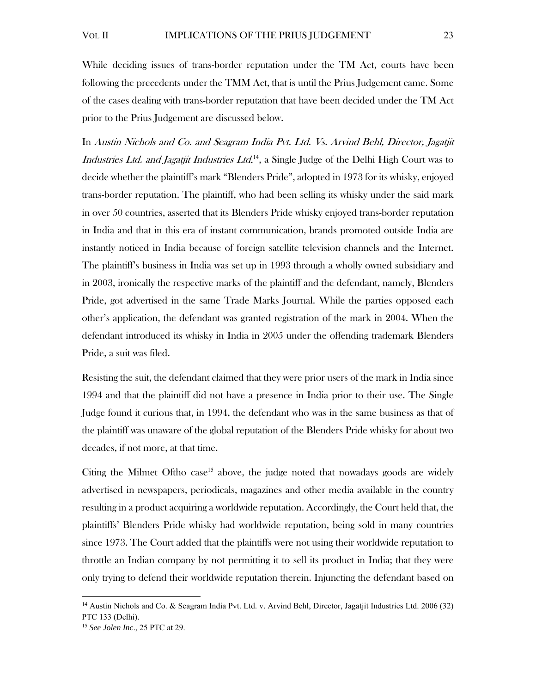While deciding issues of trans-border reputation under the TM Act, courts have been following the precedents under the TMM Act, that is until the Prius Judgement came. Some of the cases dealing with trans-border reputation that have been decided under the TM Act prior to the Prius Judgement are discussed below.

In Austin Nichols and Co. and Seagram India Pvt. Ltd. Vs. Arvind Behl, Director, Jagatjit Industries Ltd. and Jagatjit Industries Ltd.<sup>14</sup>, a Single Judge of the Delhi High Court was to decide whether the plaintiff's mark "Blenders Pride", adopted in 1973 for its whisky, enjoyed trans-border reputation. The plaintiff, who had been selling its whisky under the said mark in over 50 countries, asserted that its Blenders Pride whisky enjoyed trans-border reputation in India and that in this era of instant communication, brands promoted outside India are instantly noticed in India because of foreign satellite television channels and the Internet. The plaintiff's business in India was set up in 1993 through a wholly owned subsidiary and in 2003, ironically the respective marks of the plaintiff and the defendant, namely, Blenders Pride, got advertised in the same Trade Marks Journal. While the parties opposed each other's application, the defendant was granted registration of the mark in 2004. When the defendant introduced its whisky in India in 2005 under the offending trademark Blenders Pride, a suit was filed.

Resisting the suit, the defendant claimed that they were prior users of the mark in India since 1994 and that the plaintiff did not have a presence in India prior to their use. The Single Judge found it curious that, in 1994, the defendant who was in the same business as that of the plaintiff was unaware of the global reputation of the Blenders Pride whisky for about two decades, if not more, at that time.

Citing the Milmet Oftho case<sup>15</sup> above, the judge noted that nowadays goods are widely advertised in newspapers, periodicals, magazines and other media available in the country resulting in a product acquiring a worldwide reputation. Accordingly, the Court held that, the plaintiffs' Blenders Pride whisky had worldwide reputation, being sold in many countries since 1973. The Court added that the plaintiffs were not using their worldwide reputation to throttle an Indian company by not permitting it to sell its product in India; that they were only trying to defend their worldwide reputation therein. Injuncting the defendant based on

<sup>&</sup>lt;sup>14</sup> Austin Nichols and Co. & Seagram India Pvt. Ltd. v. Arvind Behl, Director, Jagatjit Industries Ltd. 2006 (32) PTC 133 (Delhi).

<sup>15</sup> *See Jolen Inc*., 25 PTC at 29.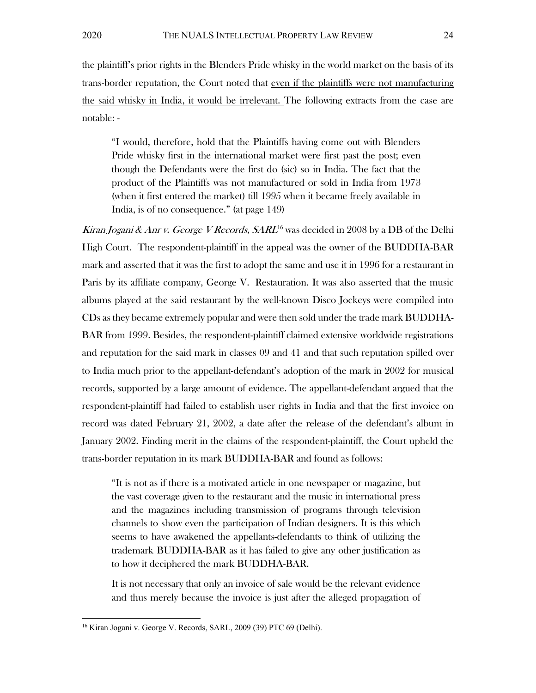the plaintiff's prior rights in the Blenders Pride whisky in the world market on the basis of its trans-border reputation, the Court noted that even if the plaintiffs were not manufacturing the said whisky in India, it would be irrelevant. The following extracts from the case are notable: -

"I would, therefore, hold that the Plaintiffs having come out with Blenders Pride whisky first in the international market were first past the post; even though the Defendants were the first do (sic) so in India. The fact that the product of the Plaintiffs was not manufactured or sold in India from 1973 (when it first entered the market) till 1995 when it became freely available in India, is of no consequence." (at page 149)

Kiran Jogani & Anr v. George V Records,  $SARL^{16}$  was decided in 2008 by a DB of the Delhi High Court. The respondent-plaintiff in the appeal was the owner of the BUDDHA-BAR mark and asserted that it was the first to adopt the same and use it in 1996 for a restaurant in Paris by its affiliate company, George V. Restauration. It was also asserted that the music albums played at the said restaurant by the well-known Disco Jockeys were compiled into CDs as they became extremely popular and were then sold under the trade mark BUDDHA-BAR from 1999. Besides, the respondent-plaintiff claimed extensive worldwide registrations and reputation for the said mark in classes 09 and 41 and that such reputation spilled over to India much prior to the appellant-defendant's adoption of the mark in 2002 for musical records, supported by a large amount of evidence. The appellant-defendant argued that the respondent-plaintiff had failed to establish user rights in India and that the first invoice on record was dated February 21, 2002, a date after the release of the defendant's album in January 2002. Finding merit in the claims of the respondent-plaintiff, the Court upheld the trans-border reputation in its mark BUDDHA-BAR and found as follows:

"It is not as if there is a motivated article in one newspaper or magazine, but the vast coverage given to the restaurant and the music in international press and the magazines including transmission of programs through television channels to show even the participation of Indian designers. It is this which seems to have awakened the appellants-defendants to think of utilizing the trademark BUDDHA-BAR as it has failed to give any other justification as to how it deciphered the mark BUDDHA-BAR.

It is not necessary that only an invoice of sale would be the relevant evidence and thus merely because the invoice is just after the alleged propagation of

<sup>&</sup>lt;sup>16</sup> Kiran Jogani v. George V. Records, SARL, 2009 (39) PTC 69 (Delhi).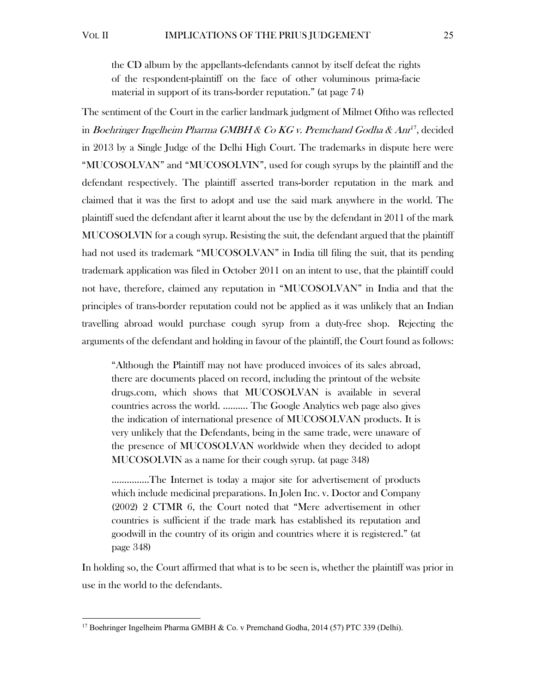the CD album by the appellants-defendants cannot by itself defeat the rights of the respondent-plaintiff on the face of other voluminous prima-facie material in support of its trans-border reputation." (at page 74)

The sentiment of the Court in the earlier landmark judgment of Milmet Oftho was reflected in Boehringer Ingelheim Pharma GMBH & Co KG v. Premchand Godha & Anr<sup>17</sup>, decided in 2013 by a Single Judge of the Delhi High Court. The trademarks in dispute here were "MUCOSOLVAN" and "MUCOSOLVIN", used for cough syrups by the plaintiff and the defendant respectively. The plaintiff asserted trans-border reputation in the mark and claimed that it was the first to adopt and use the said mark anywhere in the world. The plaintiff sued the defendant after it learnt about the use by the defendant in 2011 of the mark MUCOSOLVIN for a cough syrup. Resisting the suit, the defendant argued that the plaintiff had not used its trademark "MUCOSOLVAN" in India till filing the suit, that its pending trademark application was filed in October 2011 on an intent to use, that the plaintiff could not have, therefore, claimed any reputation in "MUCOSOLVAN" in India and that the principles of trans-border reputation could not be applied as it was unlikely that an Indian travelling abroad would purchase cough syrup from a duty-free shop. Rejecting the arguments of the defendant and holding in favour of the plaintiff, the Court found as follows:

"Although the Plaintiff may not have produced invoices of its sales abroad, there are documents placed on record, including the printout of the website drugs.com, which shows that MUCOSOLVAN is available in several countries across the world. ………. The Google Analytics web page also gives the indication of international presence of MUCOSOLVAN products. It is very unlikely that the Defendants, being in the same trade, were unaware of the presence of MUCOSOLVAN worldwide when they decided to adopt MUCOSOLVIN as a name for their cough syrup. (at page 348)

……………The Internet is today a major site for advertisement of products which include medicinal preparations. In Jolen Inc. v. Doctor and Company (2002) 2 CTMR 6, the Court noted that "Mere advertisement in other countries is sufficient if the trade mark has established its reputation and goodwill in the country of its origin and countries where it is registered." (at page 348)

In holding so, the Court affirmed that what is to be seen is, whether the plaintiff was prior in use in the world to the defendants.

<sup>&</sup>lt;sup>17</sup> Boehringer Ingelheim Pharma GMBH & Co. v Premchand Godha, 2014 (57) PTC 339 (Delhi).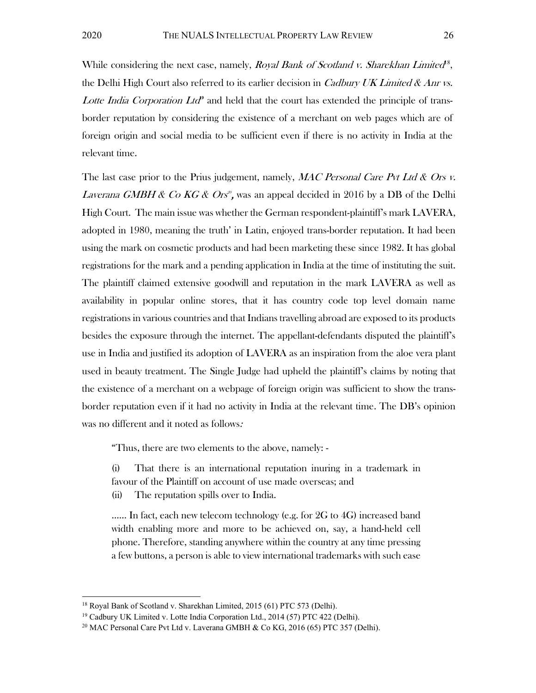While considering the next case, namely, Royal Bank of Scotland v. Sharekhan Limited<sup>8</sup>, the Delhi High Court also referred to its earlier decision in *Cadbury UK Limited & Anr vs.* Lotte India Corporation Ltd<sup>9</sup> and held that the court has extended the principle of transborder reputation by considering the existence of a merchant on web pages which are of foreign origin and social media to be sufficient even if there is no activity in India at the relevant time.

The last case prior to the Prius judgement, namely, MAC Personal Care Pvt Ltd & Ors v. *Laverana GMBH & Co KG & Ors<sup>®</sup>*, was an appeal decided in 2016 by a DB of the Delhi High Court. The main issue was whether the German respondent-plaintiff's mark LAVERA, adopted in 1980, meaning the truth' in Latin, enjoyed trans-border reputation. It had been using the mark on cosmetic products and had been marketing these since 1982. It has global registrations for the mark and a pending application in India at the time of instituting the suit. The plaintiff claimed extensive goodwill and reputation in the mark LAVERA as well as availability in popular online stores, that it has country code top level domain name registrations in various countries and that Indians travelling abroad are exposed to its products besides the exposure through the internet. The appellant-defendants disputed the plaintiff's use in India and justified its adoption of LAVERA as an inspiration from the aloe vera plant used in beauty treatment. The Single Judge had upheld the plaintiff's claims by noting that the existence of a merchant on a webpage of foreign origin was sufficient to show the transborder reputation even if it had no activity in India at the relevant time. The DB's opinion was no different and it noted as follows:

"Thus, there are two elements to the above, namely: -

(i) That there is an international reputation inuring in a trademark in favour of the Plaintiff on account of use made overseas; and

(ii) The reputation spills over to India.

...... In fact, each new telecom technology (e.g. for 2G to 4G) increased band width enabling more and more to be achieved on, say, a hand-held cell phone. Therefore, standing anywhere within the country at any time pressing a few buttons, a person is able to view international trademarks with such ease

<sup>&</sup>lt;sup>18</sup> Royal Bank of Scotland v. Sharekhan Limited, 2015 (61) PTC 573 (Delhi).<br><sup>19</sup> Cadbury UK Limited v. Lotte India Corporation Ltd., 2014 (57) PTC 422 (Delhi).<br><sup>20</sup> MAC Personal Care Pvt Ltd v. Laverana GMBH & Co KG, 201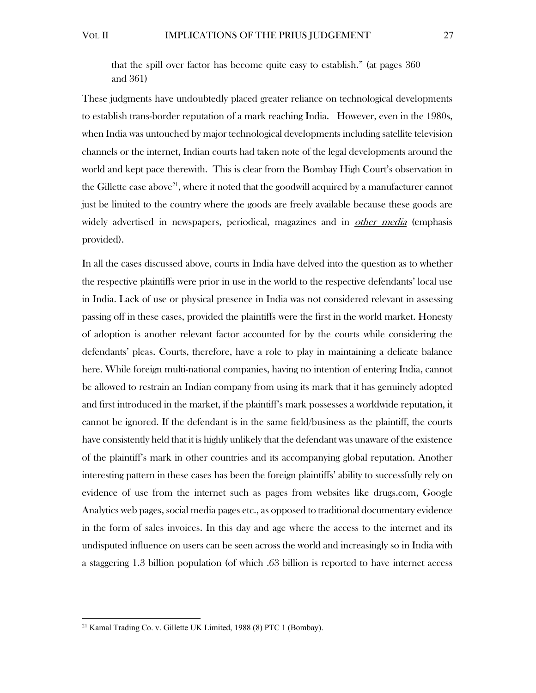that the spill over factor has become quite easy to establish." (at pages 360 and 361)

These judgments have undoubtedly placed greater reliance on technological developments to establish trans-border reputation of a mark reaching India. However, even in the 1980s, when India was untouched by major technological developments including satellite television channels or the internet, Indian courts had taken note of the legal developments around the world and kept pace therewith. This is clear from the Bombay High Court's observation in the Gillette case above<sup>21</sup>, where it noted that the goodwill acquired by a manufacturer cannot just be limited to the country where the goods are freely available because these goods are widely advertised in newspapers, periodical, magazines and in *other media* (emphasis provided).

In all the cases discussed above, courts in India have delved into the question as to whether the respective plaintiffs were prior in use in the world to the respective defendants' local use in India. Lack of use or physical presence in India was not considered relevant in assessing passing off in these cases, provided the plaintiffs were the first in the world market. Honesty of adoption is another relevant factor accounted for by the courts while considering the defendants' pleas. Courts, therefore, have a role to play in maintaining a delicate balance here. While foreign multi-national companies, having no intention of entering India, cannot be allowed to restrain an Indian company from using its mark that it has genuinely adopted and first introduced in the market, if the plaintiff's mark possesses a worldwide reputation, it cannot be ignored. If the defendant is in the same field/business as the plaintiff, the courts have consistently held that it is highly unlikely that the defendant was unaware of the existence of the plaintiff's mark in other countries and its accompanying global reputation. Another interesting pattern in these cases has been the foreign plaintiffs' ability to successfully rely on evidence of use from the internet such as pages from websites like drugs.com, Google Analytics web pages, social media pages etc., as opposed to traditional documentary evidence in the form of sales invoices. In this day and age where the access to the internet and its undisputed influence on users can be seen across the world and increasingly so in India with a staggering 1.3 billion population (of which .63 billion is reported to have internet access

<sup>21</sup> Kamal Trading Co. v. Gillette UK Limited, 1988 (8) PTC 1 (Bombay).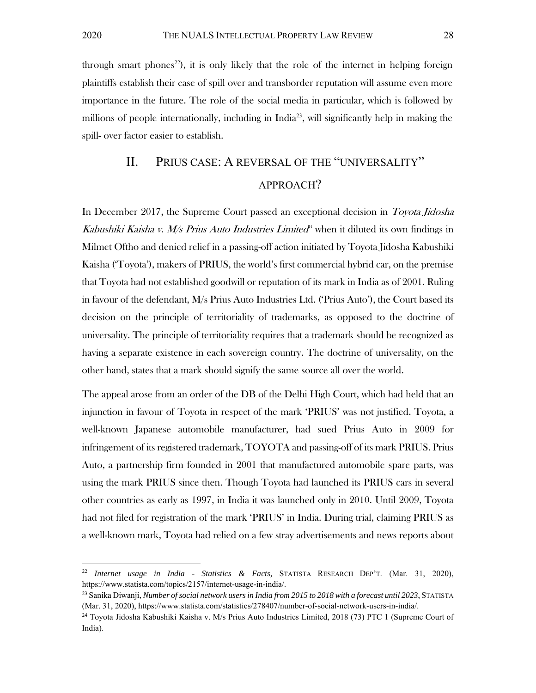through smart phones<sup>22</sup>), it is only likely that the role of the internet in helping foreign plaintiffs establish their case of spill over and transborder reputation will assume even more importance in the future. The role of the social media in particular, which is followed by millions of people internationally, including in India<sup>23</sup>, will significantly help in making the spill- over factor easier to establish.

# II. PRIUS CASE: A REVERSAL OF THE "UNIVERSALITY" APPROACH?

In December 2017, the Supreme Court passed an exceptional decision in Toyota Jidosha Kabushiki Kaisha v. M/s Prius Auto Industries Limited<sup>4</sup> when it diluted its own findings in Milmet Oftho and denied relief in a passing-off action initiated by Toyota Jidosha Kabushiki Kaisha ('Toyota'), makers of PRIUS, the world's first commercial hybrid car, on the premise that Toyota had not established goodwill or reputation of its mark in India as of 2001. Ruling in favour of the defendant, M/s Prius Auto Industries Ltd. ('Prius Auto'), the Court based its decision on the principle of territoriality of trademarks, as opposed to the doctrine of universality. The principle of territoriality requires that a trademark should be recognized as having a separate existence in each sovereign country. The doctrine of universality, on the other hand, states that a mark should signify the same source all over the world.

The appeal arose from an order of the DB of the Delhi High Court, which had held that an injunction in favour of Toyota in respect of the mark 'PRIUS' was not justified. Toyota, a well-known Japanese automobile manufacturer, had sued Prius Auto in 2009 for infringement of its registered trademark, TOYOTA and passing-off of its mark PRIUS. Prius Auto, a partnership firm founded in 2001 that manufactured automobile spare parts, was using the mark PRIUS since then. Though Toyota had launched its PRIUS cars in several other countries as early as 1997, in India it was launched only in 2010. Until 2009, Toyota had not filed for registration of the mark 'PRIUS' in India. During trial, claiming PRIUS as a well-known mark, Toyota had relied on a few stray advertisements and news reports about

<sup>22</sup> *Internet usage in India - Statistics & Facts,* STATISTA RESEARCH DEP'T. (Mar. 31, 2020), https://www.statista.com/topics/2157/internet-usage-in-india/.

<sup>23</sup> Sanika Diwanji, *Number of social network users in India from 2015 to 2018 with a forecast until 2023*, STATISTA (Mar. 31, 2020), https://www.statista.com/statistics/278407/number-of-social-network-users-in-india/. 24 Toyota Jidosha Kabushiki Kaisha v. M/s Prius Auto Industries Limited, 2018 (73) PTC 1 (Supreme Court of

India).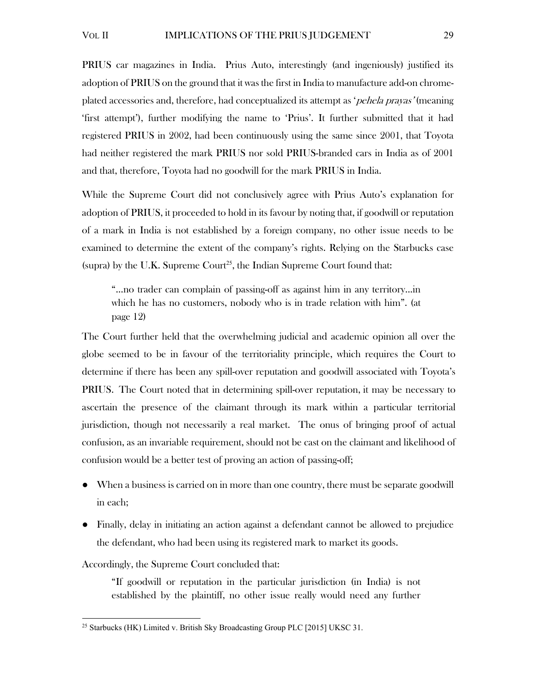PRIUS car magazines in India. Prius Auto, interestingly (and ingeniously) justified its adoption of PRIUS on the ground that it was the first in India to manufacture add-on chromeplated accessories and, therefore, had conceptualized its attempt as 'pehela prayas' (meaning 'first attempt'), further modifying the name to 'Prius'. It further submitted that it had registered PRIUS in 2002, had been continuously using the same since 2001, that Toyota had neither registered the mark PRIUS nor sold PRIUS-branded cars in India as of 2001 and that, therefore, Toyota had no goodwill for the mark PRIUS in India.

While the Supreme Court did not conclusively agree with Prius Auto's explanation for adoption of PRIUS, it proceeded to hold in its favour by noting that, if goodwill or reputation of a mark in India is not established by a foreign company, no other issue needs to be examined to determine the extent of the company's rights. Relying on the Starbucks case (supra) by the U.K. Supreme  $Count^{25}$ , the Indian Supreme Court found that:

"…no trader can complain of passing-off as against him in any territory...in which he has no customers, nobody who is in trade relation with him". (at page 12)

The Court further held that the overwhelming judicial and academic opinion all over the globe seemed to be in favour of the territoriality principle, which requires the Court to determine if there has been any spill-over reputation and goodwill associated with Toyota's PRIUS. The Court noted that in determining spill-over reputation, it may be necessary to ascertain the presence of the claimant through its mark within a particular territorial jurisdiction, though not necessarily a real market. The onus of bringing proof of actual confusion, as an invariable requirement, should not be cast on the claimant and likelihood of confusion would be a better test of proving an action of passing-off;

- When a business is carried on in more than one country, there must be separate goodwill in each;
- Finally, delay in initiating an action against a defendant cannot be allowed to prejudice the defendant, who had been using its registered mark to market its goods.

Accordingly, the Supreme Court concluded that:

"If goodwill or reputation in the particular jurisdiction (in India) is not established by the plaintiff, no other issue really would need any further

<sup>&</sup>lt;sup>25</sup> Starbucks (HK) Limited v. British Sky Broadcasting Group PLC [2015] UKSC 31.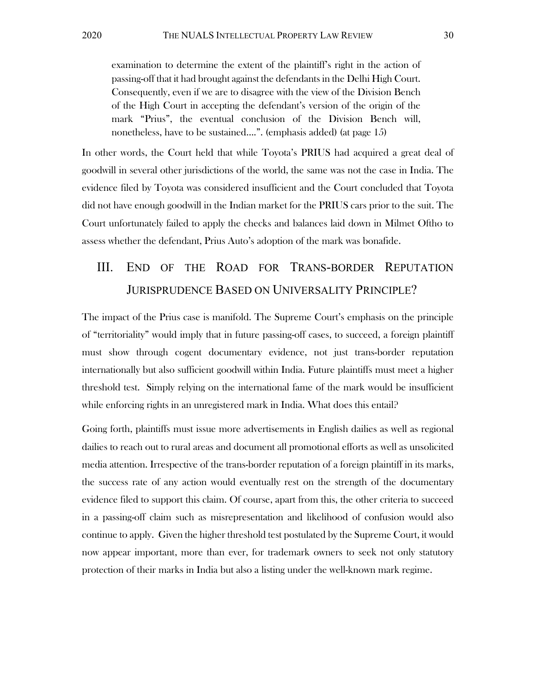examination to determine the extent of the plaintiff's right in the action of passing-off that it had brought against the defendants in the Delhi High Court. Consequently, even if we are to disagree with the view of the Division Bench of the High Court in accepting the defendant's version of the origin of the mark "Prius", the eventual conclusion of the Division Bench will, nonetheless, have to be sustained….". (emphasis added) (at page 15)

In other words, the Court held that while Toyota's PRIUS had acquired a great deal of goodwill in several other jurisdictions of the world, the same was not the case in India. The evidence filed by Toyota was considered insufficient and the Court concluded that Toyota did not have enough goodwill in the Indian market for the PRIUS cars prior to the suit. The Court unfortunately failed to apply the checks and balances laid down in Milmet Oftho to assess whether the defendant, Prius Auto's adoption of the mark was bonafide.

# III. END OF THE ROAD FOR TRANS-BORDER REPUTATION JURISPRUDENCE BASED ON UNIVERSALITY PRINCIPLE?

The impact of the Prius case is manifold. The Supreme Court's emphasis on the principle of "territoriality" would imply that in future passing-off cases, to succeed, a foreign plaintiff must show through cogent documentary evidence, not just trans-border reputation internationally but also sufficient goodwill within India. Future plaintiffs must meet a higher threshold test. Simply relying on the international fame of the mark would be insufficient while enforcing rights in an unregistered mark in India. What does this entail?

Going forth, plaintiffs must issue more advertisements in English dailies as well as regional dailies to reach out to rural areas and document all promotional efforts as well as unsolicited media attention. Irrespective of the trans-border reputation of a foreign plaintiff in its marks, the success rate of any action would eventually rest on the strength of the documentary evidence filed to support this claim. Of course, apart from this, the other criteria to succeed in a passing-off claim such as misrepresentation and likelihood of confusion would also continue to apply. Given the higher threshold test postulated by the Supreme Court, it would now appear important, more than ever, for trademark owners to seek not only statutory protection of their marks in India but also a listing under the well-known mark regime.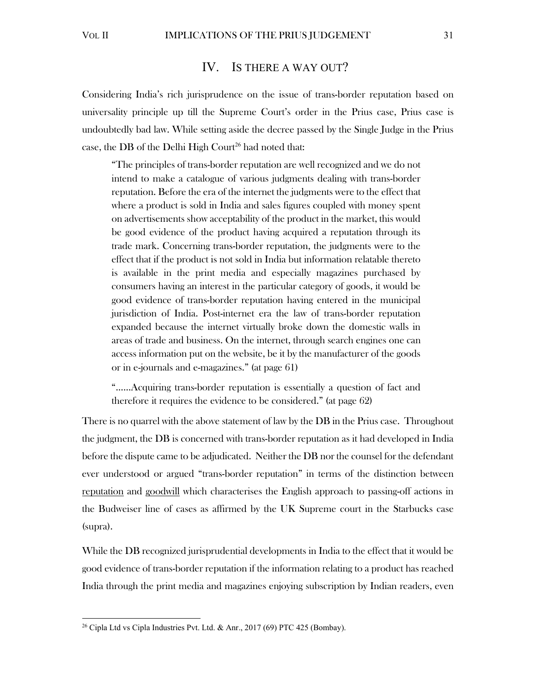### IV. IS THERE A WAY OUT?

Considering India's rich jurisprudence on the issue of trans-border reputation based on universality principle up till the Supreme Court's order in the Prius case, Prius case is undoubtedly bad law. While setting aside the decree passed by the Single Judge in the Prius case, the DB of the Delhi High Court<sup>26</sup> had noted that:

"The principles of trans-border reputation are well recognized and we do not intend to make a catalogue of various judgments dealing with trans-border reputation. Before the era of the internet the judgments were to the effect that where a product is sold in India and sales figures coupled with money spent on advertisements show acceptability of the product in the market, this would be good evidence of the product having acquired a reputation through its trade mark. Concerning trans-border reputation, the judgments were to the effect that if the product is not sold in India but information relatable thereto is available in the print media and especially magazines purchased by consumers having an interest in the particular category of goods, it would be good evidence of trans-border reputation having entered in the municipal jurisdiction of India. Post-internet era the law of trans-border reputation expanded because the internet virtually broke down the domestic walls in areas of trade and business. On the internet, through search engines one can access information put on the website, be it by the manufacturer of the goods or in e-journals and e-magazines." (at page 61)

"……Acquiring trans-border reputation is essentially a question of fact and therefore it requires the evidence to be considered." (at page 62)

There is no quarrel with the above statement of law by the DB in the Prius case. Throughout the judgment, the DB is concerned with trans-border reputation as it had developed in India before the dispute came to be adjudicated. Neither the DB nor the counsel for the defendant ever understood or argued "trans-border reputation" in terms of the distinction between reputation and goodwill which characterises the English approach to passing-off actions in the Budweiser line of cases as affirmed by the UK Supreme court in the Starbucks case (supra).

While the DB recognized jurisprudential developments in India to the effect that it would be good evidence of trans-border reputation if the information relating to a product has reached India through the print media and magazines enjoying subscription by Indian readers, even

<sup>26</sup> Cipla Ltd vs Cipla Industries Pvt. Ltd. & Anr., 2017 (69) PTC 425 (Bombay).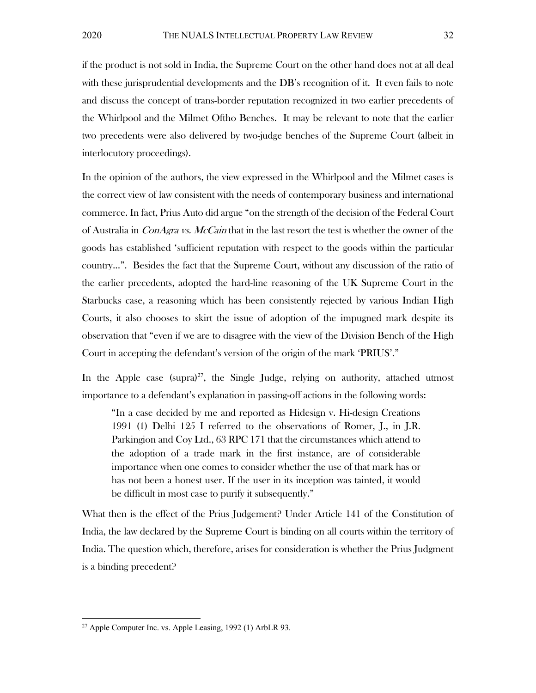if the product is not sold in India, the Supreme Court on the other hand does not at all deal with these jurisprudential developments and the DB's recognition of it. It even fails to note and discuss the concept of trans-border reputation recognized in two earlier precedents of the Whirlpool and the Milmet Oftho Benches. It may be relevant to note that the earlier two precedents were also delivered by two-judge benches of the Supreme Court (albeit in interlocutory proceedings).

In the opinion of the authors, the view expressed in the Whirlpool and the Milmet cases is the correct view of law consistent with the needs of contemporary business and international commerce. In fact, Prius Auto did argue "on the strength of the decision of the Federal Court of Australia in *ConAgra vs. McCain* that in the last resort the test is whether the owner of the goods has established 'sufficient reputation with respect to the goods within the particular country...". Besides the fact that the Supreme Court, without any discussion of the ratio of the earlier precedents, adopted the hard-line reasoning of the UK Supreme Court in the Starbucks case, a reasoning which has been consistently rejected by various Indian High Courts, it also chooses to skirt the issue of adoption of the impugned mark despite its observation that "even if we are to disagree with the view of the Division Bench of the High Court in accepting the defendant's version of the origin of the mark 'PRIUS'."

In the Apple case (supra)<sup>27</sup>, the Single Judge, relying on authority, attached utmost importance to a defendant's explanation in passing-off actions in the following words:

"In a case decided by me and reported as Hidesign v. Hi-design Creations 1991 (1) Delhi 125 I referred to the observations of Romer, J., in J.R. Parkingion and Coy Ltd., 63 RPC 171 that the circumstances which attend to the adoption of a trade mark in the first instance, are of considerable importance when one comes to consider whether the use of that mark has or has not been a honest user. If the user in its inception was tainted, it would be difficult in most case to purify it subsequently."

What then is the effect of the Prius Judgement? Under Article 141 of the Constitution of India, the law declared by the Supreme Court is binding on all courts within the territory of India. The question which, therefore, arises for consideration is whether the Prius Judgment is a binding precedent?

 $27$  Apple Computer Inc. vs. Apple Leasing, 1992 (1) ArbLR 93.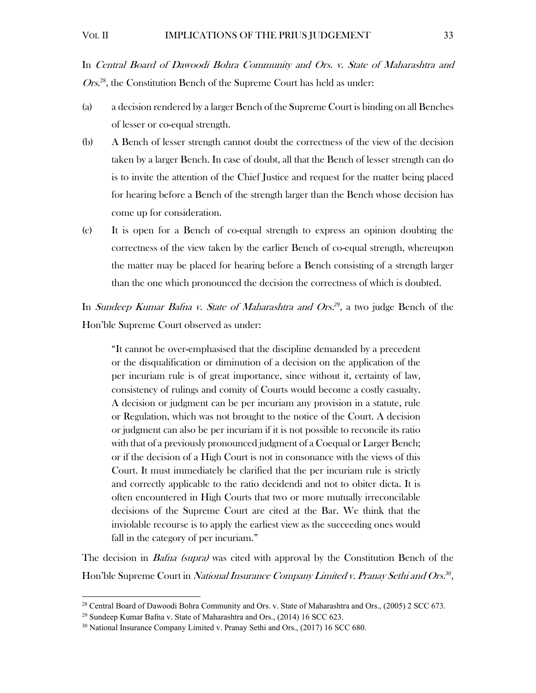In Central Board of Dawoodi Bohra Community and Ors. v. State of Maharashtra and Ors.<sup>28</sup>, the Constitution Bench of the Supreme Court has held as under:

- (a) a decision rendered by a larger Bench of the Supreme Court is binding on all Benches of lesser or co-equal strength.
- (b) A Bench of lesser strength cannot doubt the correctness of the view of the decision taken by a larger Bench. In case of doubt, all that the Bench of lesser strength can do is to invite the attention of the Chief Justice and request for the matter being placed for hearing before a Bench of the strength larger than the Bench whose decision has come up for consideration.
- (c) It is open for a Bench of co-equal strength to express an opinion doubting the correctness of the view taken by the earlier Bench of co-equal strength, whereupon the matter may be placed for hearing before a Bench consisting of a strength larger than the one which pronounced the decision the correctness of which is doubted.

In Sundeep Kumar Bafna v. State of Maharashtra and Ors.*<sup>29</sup>*, a two judge Bench of the Hon'ble Supreme Court observed as under:

"It cannot be over-emphasised that the discipline demanded by a precedent or the disqualification or diminution of a decision on the application of the per incuriam rule is of great importance, since without it, certainty of law, consistency of rulings and comity of Courts would become a costly casualty. A decision or judgment can be per incuriam any provision in a statute, rule or Regulation, which was not brought to the notice of the Court. A decision or judgment can also be per incuriam if it is not possible to reconcile its ratio with that of a previously pronounced judgment of a Coequal or Larger Bench; or if the decision of a High Court is not in consonance with the views of this Court. It must immediately be clarified that the per incuriam rule is strictly and correctly applicable to the ratio decidendi and not to obiter dicta. It is often encountered in High Courts that two or more mutually irreconcilable decisions of the Supreme Court are cited at the Bar. We think that the inviolable recourse is to apply the earliest view as the succeeding ones would fall in the category of per incuriam."

The decision in *Bafna (supra)* was cited with approval by the Constitution Bench of the Hon'ble Supreme Court in National Insurance Company Limited v. Pranay Sethi and Ors.*<sup>30</sup>*,

<sup>&</sup>lt;sup>28</sup> Central Board of Dawoodi Bohra Community and Ors. v. State of Maharashtra and Ors., (2005) 2 SCC 673.<br><sup>29</sup> Sundeep Kumar Bafna v. State of Maharashtra and Ors., (2014) 16 SCC 623.<br><sup>30</sup> National Insurance Company Limi